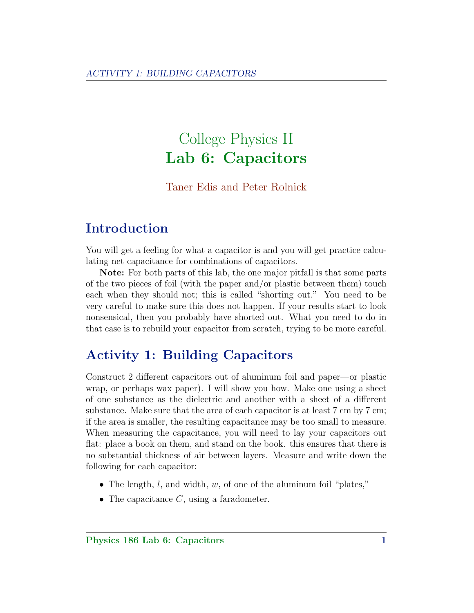# College Physics II Lab 6: Capacitors

#### Taner Edis and Peter Rolnick

## Introduction

You will get a feeling for what a capacitor is and you will get practice calculating net capacitance for combinations of capacitors.

Note: For both parts of this lab, the one major pitfall is that some parts of the two pieces of foil (with the paper and/or plastic between them) touch each when they should not; this is called "shorting out." You need to be very careful to make sure this does not happen. If your results start to look nonsensical, then you probably have shorted out. What you need to do in that case is to rebuild your capacitor from scratch, trying to be more careful.

### Activity 1: Building Capacitors

Construct 2 different capacitors out of aluminum foil and paper—or plastic wrap, or perhaps wax paper). I will show you how. Make one using a sheet of one substance as the dielectric and another with a sheet of a different substance. Make sure that the area of each capacitor is at least 7 cm by 7 cm; if the area is smaller, the resulting capacitance may be too small to measure. When measuring the capacitance, you will need to lay your capacitors out flat: place a book on them, and stand on the book. this ensures that there is no substantial thickness of air between layers. Measure and write down the following for each capacitor:

- The length,  $l$ , and width,  $w$ , of one of the aluminum foil "plates,"
- The capacitance  $C$ , using a faradometer.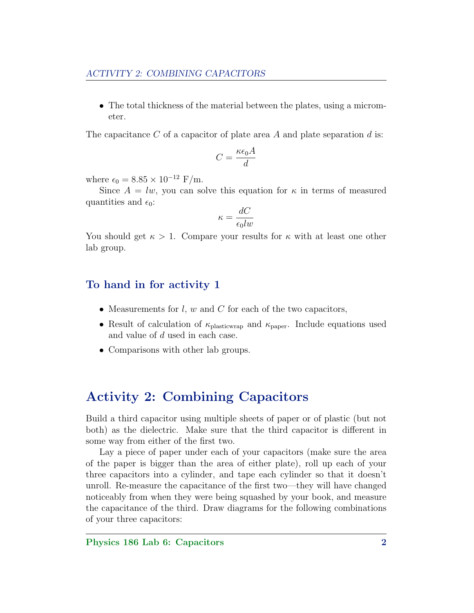• The total thickness of the material between the plates, using a micrometer.

The capacitance C of a capacitor of plate area A and plate separation  $d$  is:

$$
C = \frac{\kappa \epsilon_0 A}{d}
$$

where  $\epsilon_0 = 8.85 \times 10^{-12} \text{ F/m}.$ 

Since  $A = lw$ , you can solve this equation for  $\kappa$  in terms of measured quantities and  $\epsilon_0$ :

$$
\kappa = \frac{dC}{\epsilon_0 lw}
$$

You should get  $\kappa > 1$ . Compare your results for  $\kappa$  with at least one other lab group.

#### To hand in for activity 1

- Measurements for  $l, w$  and  $C$  for each of the two capacitors,
- Result of calculation of  $\kappa_{\text{plastic wrap}}$  and  $\kappa_{\text{paper}}$ . Include equations used and value of d used in each case.
- Comparisons with other lab groups.

### Activity 2: Combining Capacitors

Build a third capacitor using multiple sheets of paper or of plastic (but not both) as the dielectric. Make sure that the third capacitor is different in some way from either of the first two.

Lay a piece of paper under each of your capacitors (make sure the area of the paper is bigger than the area of either plate), roll up each of your three capacitors into a cylinder, and tape each cylinder so that it doesn't unroll. Re-measure the capacitance of the first two—they will have changed noticeably from when they were being squashed by your book, and measure the capacitance of the third. Draw diagrams for the following combinations of your three capacitors: